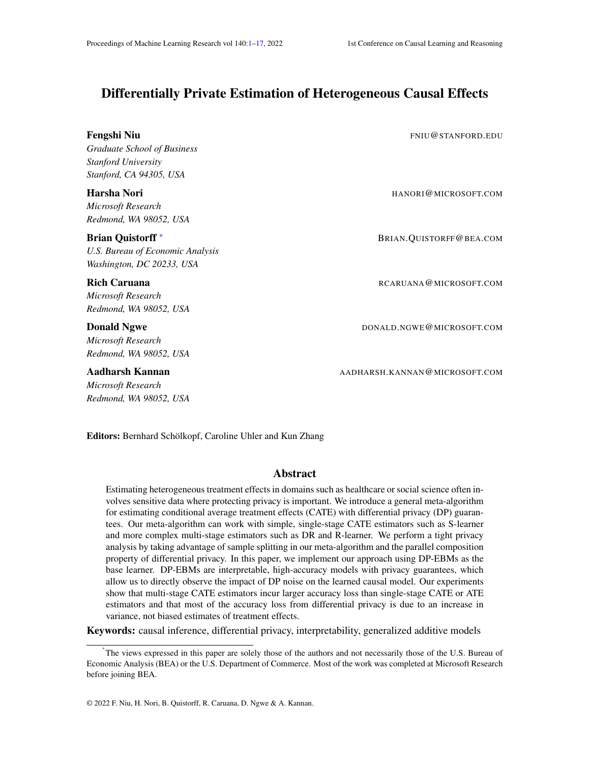# <span id="page-0-1"></span><span id="page-0-0"></span>Differentially Private Estimation of Heterogeneous Causal Effects

| <b>Fengshi Niu</b><br><b>Graduate School of Business</b><br><b>Stanford University</b><br>Stanford, CA 94305, USA | FNIU@STANFORD.EDU             |
|-------------------------------------------------------------------------------------------------------------------|-------------------------------|
| Harsha Nori<br>Microsoft Research<br>Redmond, WA 98052, USA                                                       | HANORI@MICROSOFT.COM          |
| <b>Brian Quistorff</b> *<br>U.S. Bureau of Economic Analysis<br>Washington, DC 20233, USA                         | BRIAN.QUISTORFF@BEA.COM       |
| <b>Rich Caruana</b><br>Microsoft Research<br>Redmond, WA 98052, USA                                               | RCARUANA@MICROSOFT.COM        |
| <b>Donald Ngwe</b><br>Microsoft Research<br>Redmond, WA 98052, USA                                                | DONALD.NGWE@MICROSOFT.COM     |
| Aadharsh Kannan                                                                                                   | AADHARSH.KANNAN@MICROSOFT.COM |

*Microsoft Research Redmond, WA 98052, USA*

Editors: Bernhard Schölkopf, Caroline Uhler and Kun Zhang

## Abstract

Estimating heterogeneous treatment effects in domains such as healthcare or social science often involves sensitive data where protecting privacy is important. We introduce a general meta-algorithm for estimating conditional average treatment effects (CATE) with differential privacy (DP) guarantees. Our meta-algorithm can work with simple, single-stage CATE estimators such as S-learner and more complex multi-stage estimators such as DR and R-learner. We perform a tight privacy analysis by taking advantage of sample splitting in our meta-algorithm and the parallel composition property of differential privacy. In this paper, we implement our approach using DP-EBMs as the base learner. DP-EBMs are interpretable, high-accuracy models with privacy guarantees, which allow us to directly observe the impact of DP noise on the learned causal model. Our experiments show that multi-stage CATE estimators incur larger accuracy loss than single-stage CATE or ATE estimators and that most of the accuracy loss from differential privacy is due to an increase in variance, not biased estimates of treatment effects.

Keywords: causal inference, differential privacy, interpretability, generalized additive models

<sup>\*</sup> The views expressed in this paper are solely those of the authors and not necessarily those of the U.S. Bureau of Economic Analysis (BEA) or the U.S. Department of Commerce. Most of the work was completed at Microsoft Research before joining BEA.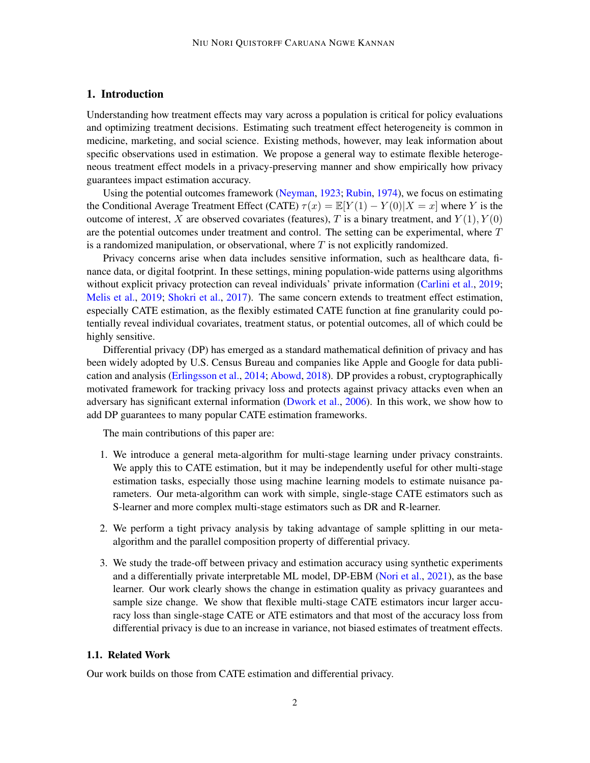## 1. Introduction

Understanding how treatment effects may vary across a population is critical for policy evaluations and optimizing treatment decisions. Estimating such treatment effect heterogeneity is common in medicine, marketing, and social science. Existing methods, however, may leak information about specific observations used in estimation. We propose a general way to estimate flexible heterogeneous treatment effect models in a privacy-preserving manner and show empirically how privacy guarantees impact estimation accuracy.

Using the potential outcomes framework [\(Neyman,](#page-14-0) [1923;](#page-14-0) [Rubin,](#page-15-0) [1974\)](#page-15-0), we focus on estimating the Conditional Average Treatment Effect (CATE)  $\tau(x) = \mathbb{E}[Y(1) - Y(0)|X = x]$  where Y is the outcome of interest, X are observed covariates (features), T is a binary treatment, and  $Y(1)$ ,  $Y(0)$ are the potential outcomes under treatment and control. The setting can be experimental, where  $T$ is a randomized manipulation, or observational, where  $T$  is not explicitly randomized.

Privacy concerns arise when data includes sensitive information, such as healthcare data, finance data, or digital footprint. In these settings, mining population-wide patterns using algorithms without explicit privacy protection can reveal individuals' private information [\(Carlini et al.,](#page-13-0) [2019;](#page-13-0) [Melis et al.,](#page-14-1) [2019;](#page-14-1) [Shokri et al.,](#page-15-1) [2017\)](#page-15-1). The same concern extends to treatment effect estimation, especially CATE estimation, as the flexibly estimated CATE function at fine granularity could potentially reveal individual covariates, treatment status, or potential outcomes, all of which could be highly sensitive.

Differential privacy (DP) has emerged as a standard mathematical definition of privacy and has been widely adopted by U.S. Census Bureau and companies like Apple and Google for data publication and analysis [\(Erlingsson et al.,](#page-13-1) [2014;](#page-13-1) [Abowd,](#page-13-2) [2018\)](#page-13-2). DP provides a robust, cryptographically motivated framework for tracking privacy loss and protects against privacy attacks even when an adversary has significant external information [\(Dwork et al.,](#page-13-3) [2006\)](#page-13-3). In this work, we show how to add DP guarantees to many popular CATE estimation frameworks.

The main contributions of this paper are:

- 1. We introduce a general meta-algorithm for multi-stage learning under privacy constraints. We apply this to CATE estimation, but it may be independently useful for other multi-stage estimation tasks, especially those using machine learning models to estimate nuisance parameters. Our meta-algorithm can work with simple, single-stage CATE estimators such as S-learner and more complex multi-stage estimators such as DR and R-learner.
- 2. We perform a tight privacy analysis by taking advantage of sample splitting in our metaalgorithm and the parallel composition property of differential privacy.
- 3. We study the trade-off between privacy and estimation accuracy using synthetic experiments and a differentially private interpretable ML model, DP-EBM [\(Nori et al.,](#page-15-2) [2021\)](#page-15-2), as the base learner. Our work clearly shows the change in estimation quality as privacy guarantees and sample size change. We show that flexible multi-stage CATE estimators incur larger accuracy loss than single-stage CATE or ATE estimators and that most of the accuracy loss from differential privacy is due to an increase in variance, not biased estimates of treatment effects.

## 1.1. Related Work

Our work builds on those from CATE estimation and differential privacy.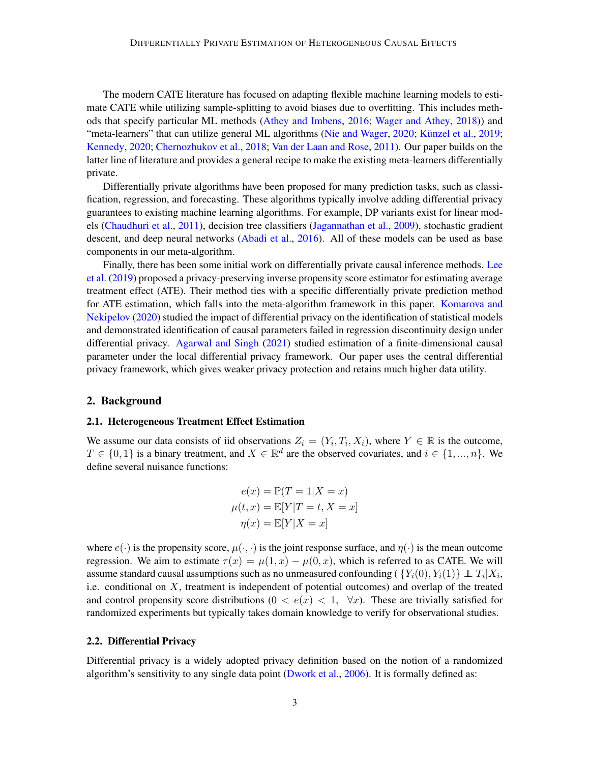The modern CATE literature has focused on adapting flexible machine learning models to estimate CATE while utilizing sample-splitting to avoid biases due to overfitting. This includes methods that specify particular ML methods [\(Athey and Imbens,](#page-13-4) [2016;](#page-13-4) [Wager and Athey,](#page-15-3) [2018\)](#page-15-3)) and "meta-learners" that can utilize general ML algorithms [\(Nie and Wager,](#page-14-2) [2020;](#page-14-2) Künzel et al., [2019;](#page-14-3) [Kennedy,](#page-14-4) [2020;](#page-14-4) [Chernozhukov et al.,](#page-13-5) [2018;](#page-13-5) [Van der Laan and Rose,](#page-15-4) [2011\)](#page-15-4). Our paper builds on the latter line of literature and provides a general recipe to make the existing meta-learners differentially private.

Differentially private algorithms have been proposed for many prediction tasks, such as classification, regression, and forecasting. These algorithms typically involve adding differential privacy guarantees to existing machine learning algorithms. For example, DP variants exist for linear models [\(Chaudhuri et al.,](#page-13-6) [2011\)](#page-13-6), decision tree classifiers [\(Jagannathan et al.,](#page-14-5) [2009\)](#page-14-5), stochastic gradient descent, and deep neural networks [\(Abadi et al.,](#page-13-7) [2016\)](#page-13-7). All of these models can be used as base components in our meta-algorithm.

Finally, there has been some initial work on differentially private causal inference methods. [Lee](#page-14-6) [et al.](#page-14-6) [\(2019\)](#page-14-6) proposed a privacy-preserving inverse propensity score estimator for estimating average treatment effect (ATE). Their method ties with a specific differentially private prediction method for ATE estimation, which falls into the meta-algorithm framework in this paper. [Komarova and](#page-14-7) [Nekipelov](#page-14-7) [\(2020\)](#page-14-7) studied the impact of differential privacy on the identification of statistical models and demonstrated identification of causal parameters failed in regression discontinuity design under differential privacy. [Agarwal and Singh](#page-13-8) [\(2021\)](#page-13-8) studied estimation of a finite-dimensional causal parameter under the local differential privacy framework. Our paper uses the central differential privacy framework, which gives weaker privacy protection and retains much higher data utility.

#### 2. Background

#### 2.1. Heterogeneous Treatment Effect Estimation

We assume our data consists of iid observations  $Z_i = (Y_i, T_i, X_i)$ , where  $Y \in \mathbb{R}$  is the outcome,  $T \in \{0, 1\}$  is a binary treatment, and  $X \in \mathbb{R}^d$  are the observed covariates, and  $i \in \{1, ..., n\}$ . We define several nuisance functions:

$$
e(x) = \mathbb{P}(T = 1|X = x)
$$

$$
\mu(t, x) = \mathbb{E}[Y|T = t, X = x]
$$

$$
\eta(x) = \mathbb{E}[Y|X = x]
$$

where  $e(\cdot)$  is the propensity score,  $\mu(\cdot, \cdot)$  is the joint response surface, and  $\eta(\cdot)$  is the mean outcome regression. We aim to estimate  $\tau(x) = \mu(1, x) - \mu(0, x)$ , which is referred to as CATE. We will assume standard causal assumptions such as no unmeasured confounding (  $\{Y_i(0), Y_i(1)\} \perp \!\!\! \perp T_i | X_i,$ i.e. conditional on  $X$ , treatment is independent of potential outcomes) and overlap of the treated and control propensity score distributions  $(0 < e(x) < 1, \forall x)$ . These are trivially satisfied for randomized experiments but typically takes domain knowledge to verify for observational studies.

### 2.2. Differential Privacy

Differential privacy is a widely adopted privacy definition based on the notion of a randomized algorithm's sensitivity to any single data point [\(Dwork et al.,](#page-13-3) [2006\)](#page-13-3). It is formally defined as: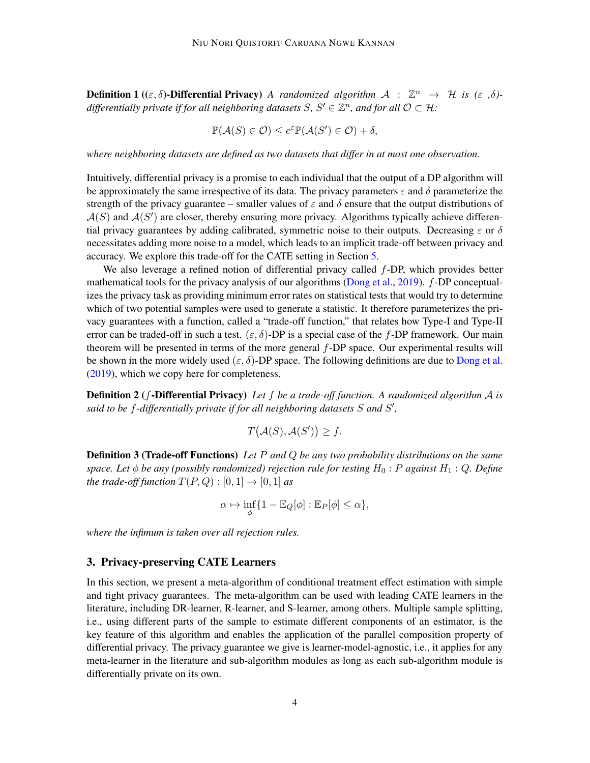**Definition 1** (( $\varepsilon$ ,  $\delta$ )**-Differential Privacy**) *A randomized algorithm*  $A : \mathbb{Z}^n \to H$  *is* ( $\varepsilon$ ,  $\delta$ )differentially private if for all neighboring datasets  $S, S' \in \mathbb{Z}^n$ , and for all  $\mathcal{O} \subset \mathcal{H}$ :

$$
\mathbb{P}(\mathcal{A}(S) \in \mathcal{O}) \le e^{\varepsilon} \mathbb{P}(\mathcal{A}(S') \in \mathcal{O}) + \delta,
$$

*where neighboring datasets are defined as two datasets that differ in at most one observation.*

Intuitively, differential privacy is a promise to each individual that the output of a DP algorithm will be approximately the same irrespective of its data. The privacy parameters  $\varepsilon$  and  $\delta$  parameterize the strength of the privacy guarantee – smaller values of  $\varepsilon$  and  $\delta$  ensure that the output distributions of  $A(S)$  and  $A(S')$  are closer, thereby ensuring more privacy. Algorithms typically achieve differential privacy guarantees by adding calibrated, symmetric noise to their outputs. Decreasing  $\varepsilon$  or  $\delta$ necessitates adding more noise to a model, which leads to an implicit trade-off between privacy and accuracy. We explore this trade-off for the CATE setting in Section [5.](#page-8-0)

We also leverage a refined notion of differential privacy called f-DP, which provides better mathematical tools for the privacy analysis of our algorithms [\(Dong et al.,](#page-13-9) [2019\)](#page-13-9).  $f$ -DP conceptualizes the privacy task as providing minimum error rates on statistical tests that would try to determine which of two potential samples were used to generate a statistic. It therefore parameterizes the privacy guarantees with a function, called a "trade-off function," that relates how Type-I and Type-II error can be traded-off in such a test.  $(\varepsilon, \delta)$ -DP is a special case of the f-DP framework. Our main theorem will be presented in terms of the more general f-DP space. Our experimental results will be shown in the more widely used  $(\varepsilon, \delta)$ -DP space. The following definitions are due to [Dong et al.](#page-13-9) [\(2019\)](#page-13-9), which we copy here for completeness.

Definition 2 (f-Differential Privacy) *Let* f *be a trade-off function. A randomized algorithm* A *is said to be* f*-differentially private if for all neighboring datasets* S *and* S ′ *,*

$$
T(\mathcal{A}(S), \mathcal{A}(S')) \ge f.
$$

Definition 3 (Trade-off Functions) *Let* P *and* Q *be any two probability distributions on the same space. Let*  $\phi$  *be any (possibly randomized) rejection rule for testing*  $H_0$ : P *against*  $H_1$ : Q. Define *the trade-off function*  $T(P,Q) : [0,1] \rightarrow [0,1]$  *as* 

$$
\alpha \mapsto \inf_{\phi} \{ 1 - \mathbb{E}_Q[\phi] : \mathbb{E}_P[\phi] \le \alpha \},
$$

*where the infimum is taken over all rejection rules.*

#### 3. Privacy-preserving CATE Learners

In this section, we present a meta-algorithm of conditional treatment effect estimation with simple and tight privacy guarantees. The meta-algorithm can be used with leading CATE learners in the literature, including DR-learner, R-learner, and S-learner, among others. Multiple sample splitting, i.e., using different parts of the sample to estimate different components of an estimator, is the key feature of this algorithm and enables the application of the parallel composition property of differential privacy. The privacy guarantee we give is learner-model-agnostic, i.e., it applies for any meta-learner in the literature and sub-algorithm modules as long as each sub-algorithm module is differentially private on its own.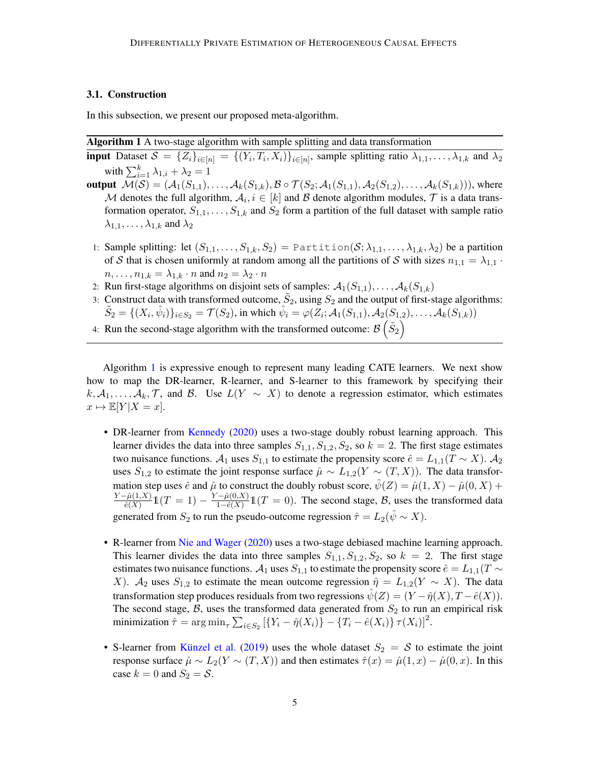## <span id="page-4-1"></span>3.1. Construction

In this subsection, we present our proposed meta-algorithm.

### Algorithm 1 A two-stage algorithm with sample splitting and data transformation

- <span id="page-4-0"></span>**input** Dataset  $S = \{Z_i\}_{i \in [n]} = \{(Y_i, T_i, X_i)\}_{i \in [n]}$ , sample splitting ratio  $\lambda_{1,1}, \ldots, \lambda_{1,k}$  and  $\lambda_2$ with  $\sum_{i=1}^{k} \lambda_{1,i} + \lambda_2 = 1$
- **output**  $\mathcal{M}(\mathcal{S}) = (\mathcal{A}_1(S_{1,1}), \dots, \mathcal{A}_k(S_{1,k}), \mathcal{B} \circ \mathcal{T}(S_2; \mathcal{A}_1(S_{1,1}), \mathcal{A}_2(S_{1,2}), \dots, \mathcal{A}_k(S_{1,k}))),$  where M denotes the full algorithm,  $A_i$ ,  $i \in [k]$  and B denote algorithm modules,  $\mathcal T$  is a data transformation operator,  $S_{1,1}, \ldots, S_{1,k}$  and  $S_2$  form a partition of the full dataset with sample ratio  $\lambda_{1,1}, \ldots, \lambda_{1,k}$  and  $\lambda_2$ 
	- 1: Sample splitting: let  $(S_{1,1},...,S_{1,k},S_2)$  = Partition $(S; \lambda_{1,1},..., \lambda_{1,k}, \lambda_2)$  be a partition of S that is chosen uniformly at random among all the partitions of S with sizes  $n_{1,1} = \lambda_{1,1}$ .  $n, \ldots, n_{1,k} = \lambda_{1,k} \cdot n$  and  $n_2 = \lambda_2 \cdot n$
	- 2: Run first-stage algorithms on disjoint sets of samples:  $A_1(S_{1,1}), \ldots, A_k(S_{1,k})$
	- 3: Construct data with transformed outcome,  $\tilde{S}_2$ , using  $S_2$  and the output of first-stage algorithms:  $\tilde{S}_2 = \{(X_i, \hat{\psi}_i)\}_{i \in S_2} = \mathcal{T}(S_2)$ , in which  $\hat{\psi}_i = \varphi(Z_i; \mathcal{A}_1(S_{1,1}), \mathcal{A}_2(S_{1,2}), \dots, \mathcal{A}_k(S_{1,k}))$
- 4: Run the second-stage algorithm with the transformed outcome:  $\mathcal{B}\left(\tilde{S}_2\right)$

Algorithm [1](#page-4-0) is expressive enough to represent many leading CATE learners. We next show how to map the DR-learner, R-learner, and S-learner to this framework by specifying their k,  $A_1, \ldots, A_k, \mathcal{T}$ , and B. Use  $L(Y \sim X)$  to denote a regression estimator, which estimates  $x \mapsto \mathbb{E}[Y | X = x].$ 

- DR-learner from [Kennedy](#page-14-4) [\(2020\)](#page-14-4) uses a two-stage doubly robust learning approach. This learner divides the data into three samples  $S_{1,1}$ ,  $S_{1,2}$ ,  $S_2$ , so  $k = 2$ . The first stage estimates two nuisance functions.  $A_1$  uses  $S_{1,1}$  to estimate the propensity score  $\hat{e} = L_{1,1}(T \sim X)$ .  $A_2$ uses  $S_{1,2}$  to estimate the joint response surface  $\hat{\mu} \sim L_{1,2}(Y \sim (T, X))$ . The data transformation step uses  $\hat{e}$  and  $\hat{\mu}$  to construct the doubly robust score,  $\hat{\psi}(Z) = \hat{\mu}(1, X) - \hat{\mu}(0, X) + \hat{\mu}(0, X)$  $Y - \hat{\mu}(1,X)$  $\frac{\hat{\mu}(1,X)}{\hat{e}(X)}1(T=1) - \frac{Y - \hat{\mu}(0,X)}{1 - \hat{e}(X)}$  $\frac{\partial^2 \phi(x)}{1 - \hat{e}(X)} 1\!\!1 (T = 0)$ . The second stage, *B*, uses the transformed data generated from  $S_2$  to run the pseudo-outcome regression  $\hat{\tau} = L_2(\hat{\psi} \sim X)$ .
- R-learner from [Nie and Wager](#page-14-2) [\(2020\)](#page-14-2) uses a two-stage debiased machine learning approach. This learner divides the data into three samples  $S_{1,1}, S_{1,2}, S_2$ , so  $k = 2$ . The first stage estimates two nuisance functions.  $A_1$  uses  $S_{1,1}$  to estimate the propensity score  $\hat{e} = L_{1,1}(T \sim$ X).  $\mathcal{A}_2$  uses  $S_{1,2}$  to estimate the mean outcome regression  $\hat{\eta} = L_{1,2}(Y \sim X)$ . The data transformation step produces residuals from two regressions  $\psi(Z) = (Y - \hat{\eta}(X), T - \hat{e}(X)).$ The second stage,  $B$ , uses the transformed data generated from  $S_2$  to run an empirical risk minimization  $\hat{\tau} = \arg \min_{\tau} \sum_{i \in S_2} [\{Y_i - \hat{\eta}(X_i)\} - \{T_i - \hat{e}(X_i)\} \tau(X_i)]^2$ .
- S-learner from Künzel et al. [\(2019\)](#page-14-3) uses the whole dataset  $S_2 = S$  to estimate the joint response surface  $\hat{\mu} \sim L_2(Y \sim (T, X))$  and then estimates  $\hat{\tau}(x) = \hat{\mu}(1, x) - \hat{\mu}(0, x)$ . In this case  $k = 0$  and  $S_2 = S$ .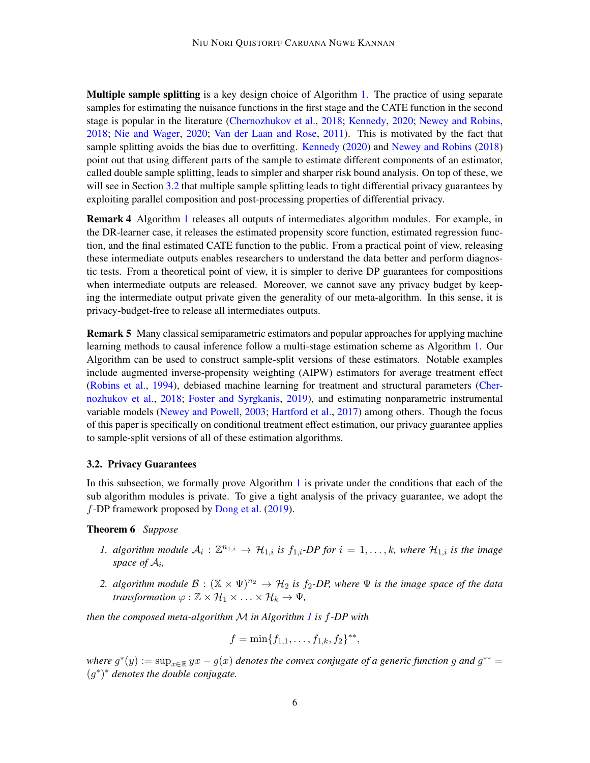Multiple sample splitting is a key design choice of Algorithm [1.](#page-4-0) The practice of using separate samples for estimating the nuisance functions in the first stage and the CATE function in the second stage is popular in the literature [\(Chernozhukov et al.,](#page-13-5) [2018;](#page-13-5) [Kennedy,](#page-14-4) [2020;](#page-14-4) [Newey and Robins,](#page-14-8) [2018;](#page-14-8) [Nie and Wager,](#page-14-2) [2020;](#page-14-2) [Van der Laan and Rose,](#page-15-4) [2011\)](#page-15-4). This is motivated by the fact that sample splitting avoids the bias due to overfitting. [Kennedy](#page-14-4) [\(2020\)](#page-14-4) and [Newey and Robins](#page-14-8) [\(2018\)](#page-14-8) point out that using different parts of the sample to estimate different components of an estimator, called double sample splitting, leads to simpler and sharper risk bound analysis. On top of these, we will see in Section [3.2](#page-5-0) that multiple sample splitting leads to tight differential privacy guarantees by exploiting parallel composition and post-processing properties of differential privacy.

Remark 4 Algorithm [1](#page-4-0) releases all outputs of intermediates algorithm modules. For example, in the DR-learner case, it releases the estimated propensity score function, estimated regression function, and the final estimated CATE function to the public. From a practical point of view, releasing these intermediate outputs enables researchers to understand the data better and perform diagnostic tests. From a theoretical point of view, it is simpler to derive DP guarantees for compositions when intermediate outputs are released. Moreover, we cannot save any privacy budget by keeping the intermediate output private given the generality of our meta-algorithm. In this sense, it is privacy-budget-free to release all intermediates outputs.

Remark 5 Many classical semiparametric estimators and popular approaches for applying machine learning methods to causal inference follow a multi-stage estimation scheme as Algorithm [1.](#page-4-0) Our Algorithm can be used to construct sample-split versions of these estimators. Notable examples include augmented inverse-propensity weighting (AIPW) estimators for average treatment effect [\(Robins et al.,](#page-15-5) [1994\)](#page-15-5), debiased machine learning for treatment and structural parameters [\(Cher](#page-13-5)[nozhukov et al.,](#page-13-5) [2018;](#page-13-5) [Foster and Syrgkanis,](#page-14-9) [2019\)](#page-14-9), and estimating nonparametric instrumental variable models [\(Newey and Powell,](#page-14-10) [2003;](#page-14-10) [Hartford et al.,](#page-14-11) [2017\)](#page-14-11) among others. Though the focus of this paper is specifically on conditional treatment effect estimation, our privacy guarantee applies to sample-split versions of all of these estimation algorithms.

### <span id="page-5-0"></span>3.2. Privacy Guarantees

In this subsection, we formally prove Algorithm [1](#page-4-0) is private under the conditions that each of the sub algorithm modules is private. To give a tight analysis of the privacy guarantee, we adopt the f-DP framework proposed by [Dong et al.](#page-13-9) [\(2019\)](#page-13-9).

## Theorem 6 *Suppose*

- 1. algorithm module  $A_i: \mathbb{Z}^{n_{1,i}} \to \mathcal{H}_{1,i}$  is  $f_{1,i}$ -DP for  $i = 1, \ldots, k$ , where  $\mathcal{H}_{1,i}$  is the image *space of* A<sup>i</sup> *,*
- *2. algorithm module*  $\mathcal{B}: (\mathbb{X} \times \Psi)^{n_2} \to \mathcal{H}_2$  *is*  $f_2$ -*DP*, where  $\Psi$  *is the image space of the data transformation*  $\varphi : \mathbb{Z} \times \mathcal{H}_1 \times \ldots \times \mathcal{H}_k \to \Psi$ ,

*then the composed meta-algorithm* M *in Algorithm [1](#page-4-0) is* f*-DP with*

<span id="page-5-1"></span>
$$
f = \min\{f_{1,1}, \ldots, f_{1,k}, f_2\}^{**},
$$

 $where\ g^*(y) := \sup_{x\in\mathbb{R}} yx - g(x)$  denotes the convex conjugate of a generic function g and  $g^{**} = g(x)$ (g ∗ ) <sup>∗</sup> *denotes the double conjugate.*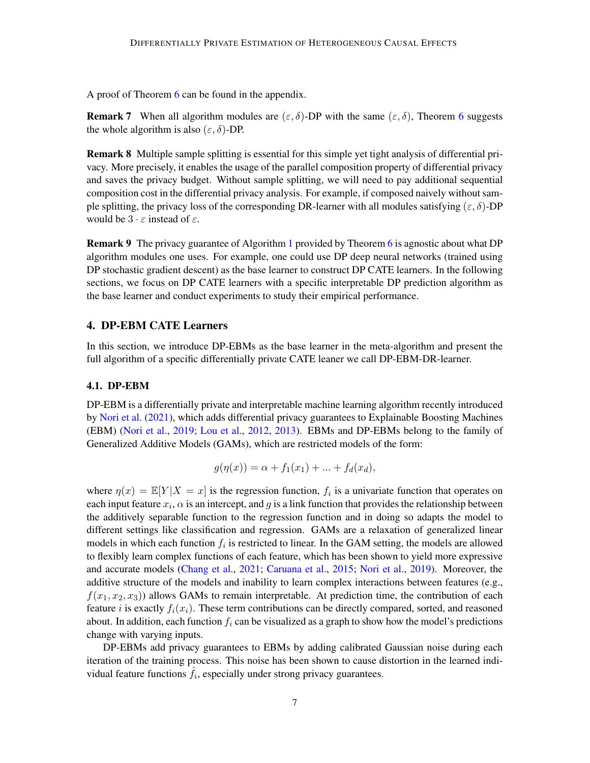<span id="page-6-0"></span>A proof of Theorem  $6$  can be found in the appendix.

**Remark 7** When all algorithm modules are  $(\varepsilon, \delta)$ -DP with the same  $(\varepsilon, \delta)$ , Theorem [6](#page-5-1) suggests the whole algorithm is also  $(\varepsilon, \delta)$ -DP.

Remark 8 Multiple sample splitting is essential for this simple yet tight analysis of differential privacy. More precisely, it enables the usage of the parallel composition property of differential privacy and saves the privacy budget. Without sample splitting, we will need to pay additional sequential composition cost in the differential privacy analysis. For example, if composed naively without sample splitting, the privacy loss of the corresponding DR-learner with all modules satisfying  $(\varepsilon, \delta)$ -DP would be  $3 \cdot \varepsilon$  instead of  $\varepsilon$ .

Remark 9 The privacy guarantee of Algorithm [1](#page-4-0) provided by Theorem [6](#page-5-1) is agnostic about what DP algorithm modules one uses. For example, one could use DP deep neural networks (trained using DP stochastic gradient descent) as the base learner to construct DP CATE learners. In the following sections, we focus on DP CATE learners with a specific interpretable DP prediction algorithm as the base learner and conduct experiments to study their empirical performance.

## 4. DP-EBM CATE Learners

In this section, we introduce DP-EBMs as the base learner in the meta-algorithm and present the full algorithm of a specific differentially private CATE leaner we call DP-EBM-DR-learner.

#### 4.1. DP-EBM

DP-EBM is a differentially private and interpretable machine learning algorithm recently introduced by [Nori et al.](#page-15-2) [\(2021\)](#page-15-2), which adds differential privacy guarantees to Explainable Boosting Machines (EBM) [\(Nori et al.,](#page-14-12) [2019;](#page-14-12) [Lou et al.,](#page-14-13) [2012,](#page-14-13) [2013\)](#page-14-14). EBMs and DP-EBMs belong to the family of Generalized Additive Models (GAMs), which are restricted models of the form:

$$
g(\eta(x)) = \alpha + f_1(x_1) + \dots + f_d(x_d),
$$

where  $\eta(x) = \mathbb{E}[Y|X = x]$  is the regression function,  $f_i$  is a univariate function that operates on each input feature  $x_i$ ,  $\alpha$  is an intercept, and g is a link function that provides the relationship between the additively separable function to the regression function and in doing so adapts the model to different settings like classification and regression. GAMs are a relaxation of generalized linear models in which each function  $f_i$  is restricted to linear. In the GAM setting, the models are allowed to flexibly learn complex functions of each feature, which has been shown to yield more expressive and accurate models [\(Chang et al.,](#page-13-10) [2021;](#page-13-10) [Caruana et al.,](#page-13-11) [2015;](#page-13-11) [Nori et al.,](#page-14-12) [2019\)](#page-14-12). Moreover, the additive structure of the models and inability to learn complex interactions between features (e.g.,  $f(x_1, x_2, x_3)$ ) allows GAMs to remain interpretable. At prediction time, the contribution of each feature i is exactly  $f_i(x_i)$ . These term contributions can be directly compared, sorted, and reasoned about. In addition, each function  $f_i$  can be visualized as a graph to show how the model's predictions change with varying inputs.

DP-EBMs add privacy guarantees to EBMs by adding calibrated Gaussian noise during each iteration of the training process. This noise has been shown to cause distortion in the learned individual feature functions  $\hat{f}_i$ , especially under strong privacy guarantees.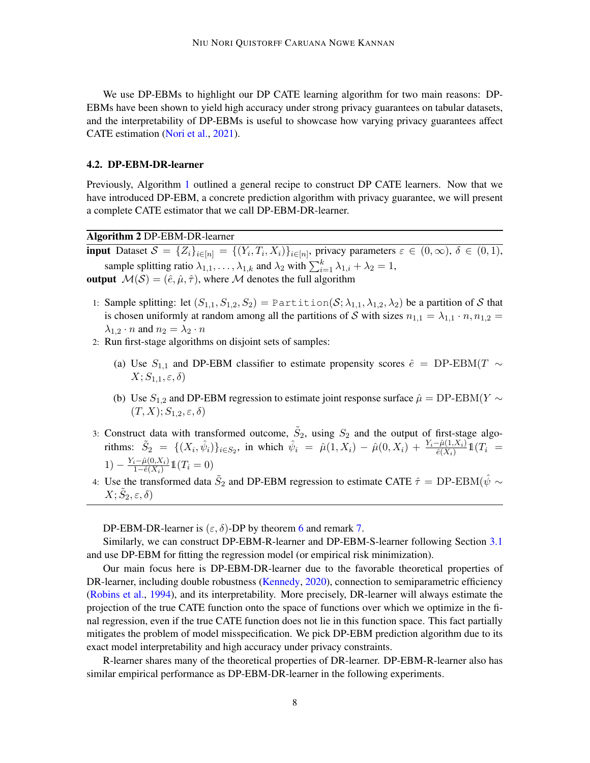We use DP-EBMs to highlight our DP CATE learning algorithm for two main reasons: DP-EBMs have been shown to yield high accuracy under strong privacy guarantees on tabular datasets, and the interpretability of DP-EBMs is useful to showcase how varying privacy guarantees affect CATE estimation [\(Nori et al.,](#page-15-2) [2021\)](#page-15-2).

#### 4.2. DP-EBM-DR-learner

Previously, Algorithm [1](#page-4-0) outlined a general recipe to construct DP CATE learners. Now that we have introduced DP-EBM, a concrete prediction algorithm with privacy guarantee, we will present a complete CATE estimator that we call DP-EBM-DR-learner.

Algorithm 2 DP-EBM-DR-learner

**input** Dataset  $S = \{Z_i\}_{i \in [n]} = \{(Y_i, T_i, X_i)\}_{i \in [n]}$ , privacy parameters  $\varepsilon \in (0, \infty)$ ,  $\delta \in (0, 1)$ , sample splitting ratio  $\lambda_{1,1}, \ldots, \lambda_{1,k}$  and  $\lambda_2$  with  $\sum_{i=1}^k \lambda_{1,i} + \lambda_2 = 1$ , output  $\mathcal{M}(\mathcal{S}) = (\hat{e}, \hat{\mu}, \hat{\tau})$ , where M denotes the full algorithm

- 1: Sample splitting: let  $(S_{1,1}, S_{1,2}, S_2)$  = Partition  $(S; \lambda_{1,1}, \lambda_{1,2}, \lambda_2)$  be a partition of S that is chosen uniformly at random among all the partitions of S with sizes  $n_{1,1} = \lambda_{1,1} \cdot n, n_{1,2} =$  $\lambda_{1,2} \cdot n$  and  $n_2 = \lambda_2 \cdot n$
- 2: Run first-stage algorithms on disjoint sets of samples:
	- (a) Use  $S_{1,1}$  and DP-EBM classifier to estimate propensity scores  $\hat{e} = \text{DP-EBM}(T \sim$  $X; S_{1,1}, \varepsilon, \delta$
	- (b) Use  $S_{1,2}$  and DP-EBM regression to estimate joint response surface  $\hat{\mu} = DP$ -EBM(Y  $\sim$  $(T, X); S_{1,2}, \varepsilon, \delta$
- 3: Construct data with transformed outcome,  $\tilde{S}_2$ , using  $S_2$  and the output of first-stage algorithms:  $\tilde{S}_2 = \{ (X_i, \hat{\psi}_i) \}_{i \in S_2}$ , in which  $\hat{\psi}_i = \hat{\mu}(1, X_i) - \hat{\mu}(0, X_i) + \frac{Y_i - \hat{\mu}(1, X_i)}{\hat{e}(X_i)} 1\mathbb{1}(T_i)$  $1) - \frac{Y_i - \hat{\mu}(0, X_i)}{1 - \hat{e}(X_i)}$  $\frac{\hat{a}-\hat{\mu}(0,X_i)}{1-\hat{e}(X_i)}1\mathbb{1}(T_i=0)$
- 4: Use the transformed data  $\tilde{S}_2$  and DP-EBM regression to estimate CATE  $\hat{\tau} =$  DP-EBM( $\hat{\psi} \sim$  $X; \tilde S_2, \varepsilon, \delta)$

DP-EBM-DR-learner is  $(\varepsilon, \delta)$ -DP by theorem [6](#page-5-1) and remark [7.](#page-6-0)

Similarly, we can construct DP-EBM-R-learner and DP-EBM-S-learner following Section [3.1](#page-4-1) and use DP-EBM for fitting the regression model (or empirical risk minimization).

Our main focus here is DP-EBM-DR-learner due to the favorable theoretical properties of DR-learner, including double robustness [\(Kennedy,](#page-14-4) [2020\)](#page-14-4), connection to semiparametric efficiency [\(Robins et al.,](#page-15-5) [1994\)](#page-15-5), and its interpretability. More precisely, DR-learner will always estimate the projection of the true CATE function onto the space of functions over which we optimize in the final regression, even if the true CATE function does not lie in this function space. This fact partially mitigates the problem of model misspecification. We pick DP-EBM prediction algorithm due to its exact model interpretability and high accuracy under privacy constraints.

R-learner shares many of the theoretical properties of DR-learner. DP-EBM-R-learner also has similar empirical performance as DP-EBM-DR-learner in the following experiments.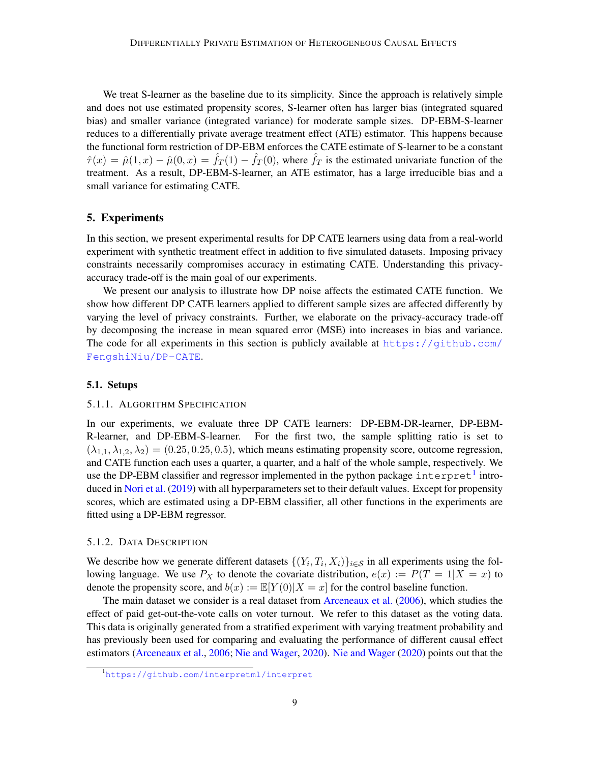We treat S-learner as the baseline due to its simplicity. Since the approach is relatively simple and does not use estimated propensity scores, S-learner often has larger bias (integrated squared bias) and smaller variance (integrated variance) for moderate sample sizes. DP-EBM-S-learner reduces to a differentially private average treatment effect (ATE) estimator. This happens because the functional form restriction of DP-EBM enforces the CATE estimate of S-learner to be a constant  $\hat{\tau}(x) = \hat{\mu}(1, x) - \hat{\mu}(0, x) = \hat{f}_T(1) - \hat{f}_T(0)$ , where  $\hat{f}_T$  is the estimated univariate function of the treatment. As a result, DP-EBM-S-learner, an ATE estimator, has a large irreducible bias and a small variance for estimating CATE.

## <span id="page-8-0"></span>5. Experiments

In this section, we present experimental results for DP CATE learners using data from a real-world experiment with synthetic treatment effect in addition to five simulated datasets. Imposing privacy constraints necessarily compromises accuracy in estimating CATE. Understanding this privacyaccuracy trade-off is the main goal of our experiments.

We present our analysis to illustrate how DP noise affects the estimated CATE function. We show how different DP CATE learners applied to different sample sizes are affected differently by varying the level of privacy constraints. Further, we elaborate on the privacy-accuracy trade-off by decomposing the increase in mean squared error (MSE) into increases in bias and variance. The code for all experiments in this section is publicly available at [https://github.com/](https://github.com/FengshiNiu/DP-CATE) [FengshiNiu/DP-CATE](https://github.com/FengshiNiu/DP-CATE).

#### 5.1. Setups

#### 5.1.1. ALGORITHM SPECIFICATION

In our experiments, we evaluate three DP CATE learners: DP-EBM-DR-learner, DP-EBM-R-learner, and DP-EBM-S-learner. For the first two, the sample splitting ratio is set to  $(\lambda_{1,1}, \lambda_{1,2}, \lambda_2) = (0.25, 0.25, 0.5)$ , which means estimating propensity score, outcome regression, and CATE function each uses a quarter, a quarter, and a half of the whole sample, respectively. We use the DP-EBM classifier and regressor implemented in the python package  $\text{interpret}^1$  $\text{interpret}^1$  introduced in [Nori et al.](#page-14-12) [\(2019\)](#page-14-12) with all hyperparameters set to their default values. Except for propensity scores, which are estimated using a DP-EBM classifier, all other functions in the experiments are fitted using a DP-EBM regressor.

## 5.1.2. DATA DESCRIPTION

We describe how we generate different datasets  $\{(Y_i, T_i, X_i)\}_{i \in S}$  in all experiments using the following language. We use  $P_X$  to denote the covariate distribution,  $e(x) := P(T = 1 | X = x)$  to denote the propensity score, and  $b(x) := \mathbb{E}[Y(0)|X=x]$  for the control baseline function.

The main dataset we consider is a real dataset from [Arceneaux et al.](#page-13-12) [\(2006\)](#page-13-12), which studies the effect of paid get-out-the-vote calls on voter turnout. We refer to this dataset as the voting data. This data is originally generated from a stratified experiment with varying treatment probability and has previously been used for comparing and evaluating the performance of different causal effect estimators [\(Arceneaux et al.,](#page-13-12) [2006;](#page-13-12) [Nie and Wager,](#page-14-2) [2020\)](#page-14-2). [Nie and Wager](#page-14-2) [\(2020\)](#page-14-2) points out that the

<sup>1</sup><https://github.com/interpretml/interpret>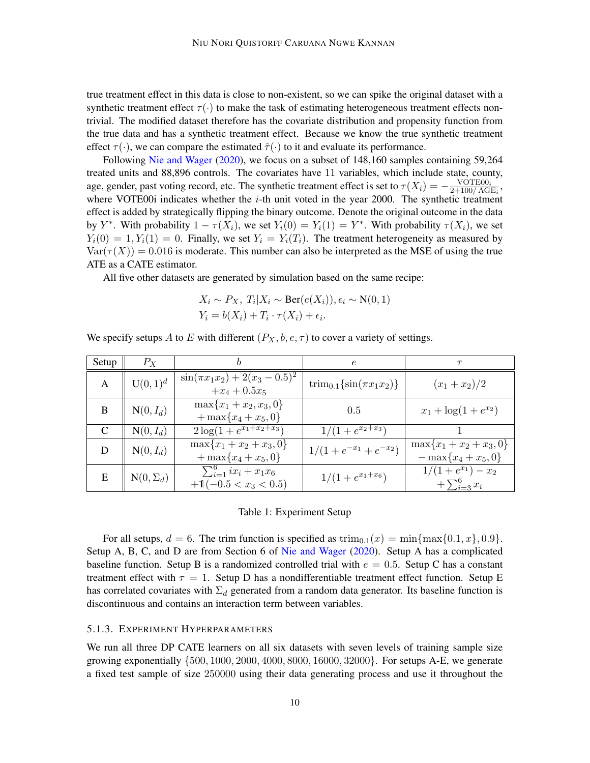true treatment effect in this data is close to non-existent, so we can spike the original dataset with a synthetic treatment effect  $\tau(\cdot)$  to make the task of estimating heterogeneous treatment effects nontrivial. The modified dataset therefore has the covariate distribution and propensity function from the true data and has a synthetic treatment effect. Because we know the true synthetic treatment effect  $\tau(\cdot)$ , we can compare the estimated  $\hat{\tau}(\cdot)$  to it and evaluate its performance.

Following [Nie and Wager](#page-14-2) [\(2020\)](#page-14-2), we focus on a subset of 148,160 samples containing 59,264 treated units and 88,896 controls. The covariates have 11 variables, which include state, county, age, gender, past voting record, etc. The synthetic treatment effect is set to  $\tau(X_i) = -\frac{\text{VOTE00}_i}{2+100/\text{AG}}$  $\frac{\text{VOTEOU}_i}{2+100/\text{AGE}_i}$ where VOTE00i indicates whether the  $i$ -th unit voted in the year 2000. The synthetic treatment effect is added by strategically flipping the binary outcome. Denote the original outcome in the data by Y<sup>\*</sup>. With probability  $1 - \tau(X_i)$ , we set  $Y_i(0) = Y_i(1) = Y^*$ . With probability  $\tau(X_i)$ , we set  $Y_i(0) = 1, Y_i(1) = 0$ . Finally, we set  $Y_i = Y_i(T_i)$ . The treatment heterogeneity as measured by  $\text{Var}(\tau(X)) = 0.016$  is moderate. This number can also be interpreted as the MSE of using the true ATE as a CATE estimator.

All five other datasets are generated by simulation based on the same recipe:

$$
X_i \sim P_X, T_i | X_i \sim \text{Ber}(e(X_i)), \epsilon_i \sim N(0, 1)
$$
  

$$
Y_i = b(X_i) + T_i \cdot \tau(X_i) + \epsilon_i.
$$

| Setup | $P_X$           |                                                          | $\epsilon$                               |                                                 |
|-------|-----------------|----------------------------------------------------------|------------------------------------------|-------------------------------------------------|
| A     | $U(0,1)^d$      | $\sin(\pi x_1 x_2) + 2(x_3 - 0.5)^2$<br>$+x_4+0.5x_5$    | $\text{trim}_{0.1}\{\sin(\pi x_1x_2)\}\$ | $(x_1+x_2)/2$                                   |
| B     | $N(0, I_d)$     | $\max\{x_1+x_2,x_3,0\}$<br>$+\max\{x_4+x_5,0\}$          | 0.5                                      | $x_1 + \log(1 + e^{x_2})$                       |
|       | $N(0, I_d)$     | $2\log(1+e^{x_1+x_2+x_3})$                               | $1/(1+e^{x_2+x_3})$                      |                                                 |
| D     | $N(0, I_d)$     | $\max\{x_1+x_2+x_3,0\}$<br>$+\max\{x_4+x_5,0\}$          | $1/(1+e^{-x_1}+e^{-x_2})$                | $\max\{x_1+x_2+x_3,0\}$<br>$-\max\{x_4+x_5,0\}$ |
| E     | $N(0,\Sigma_d)$ | $\sum_{i=1}^{6} ix_i + x_1x_6$<br>$+1(-0.5 < x_3 < 0.5)$ | $1/(1+e^{x_1+x_6})$                      | $1/(1+e^{x_1})-x_2$<br>$+\sum_{i=3}^{6} x_i$    |

We specify setups A to E with different  $(P_X, b, e, \tau)$  to cover a variety of settings.

#### Table 1: Experiment Setup

For all setups,  $d = 6$ . The trim function is specified as  $\text{trim}_{0,1}(x) = \min\{\max\{0.1, x\}, 0.9\}.$ Setup A, B, C, and D are from Section 6 of [Nie and Wager](#page-14-2) [\(2020\)](#page-14-2). Setup A has a complicated baseline function. Setup B is a randomized controlled trial with  $e = 0.5$ . Setup C has a constant treatment effect with  $\tau = 1$ . Setup D has a nondifferentiable treatment effect function. Setup E has correlated covariates with  $\Sigma_d$  generated from a random data generator. Its baseline function is discontinuous and contains an interaction term between variables.

#### 5.1.3. EXPERIMENT HYPERPARAMETERS

We run all three DP CATE learners on all six datasets with seven levels of training sample size growing exponentially {500, 1000, 2000, 4000, 8000, 16000, 32000}. For setups A-E, we generate a fixed test sample of size 250000 using their data generating process and use it throughout the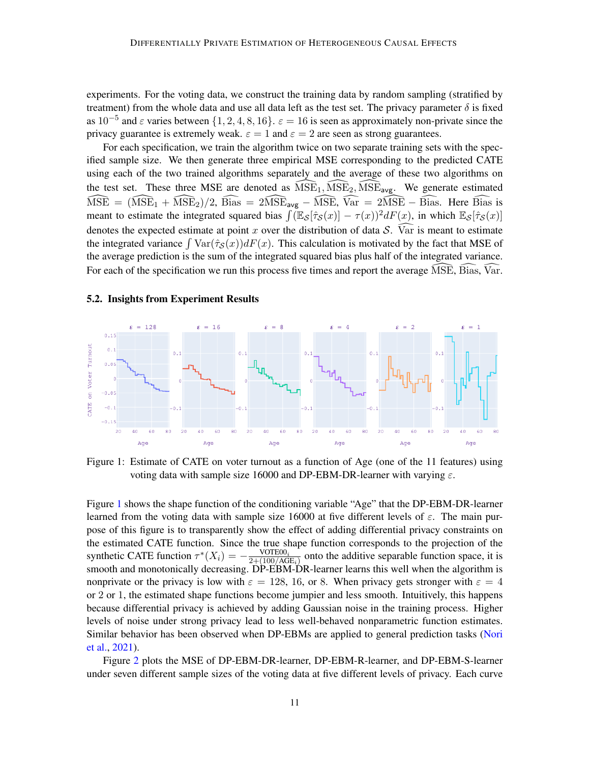experiments. For the voting data, we construct the training data by random sampling (stratified by treatment) from the whole data and use all data left as the test set. The privacy parameter  $\delta$  is fixed as  $10^{-5}$  and  $\varepsilon$  varies between  $\{1, 2, 4, 8, 16\}$ .  $\varepsilon = 16$  is seen as approximately non-private since the privacy guarantee is extremely weak.  $\varepsilon = 1$  and  $\varepsilon = 2$  are seen as strong guarantees.

For each specification, we train the algorithm twice on two separate training sets with the specified sample size. We then generate three empirical MSE corresponding to the predicted CATE using each of the two trained algorithms separately and the average of these two algorithms on the test set. These three MSE are denoted as  $\widehat{\text{MSE}}_1$ ,  $\widehat{\text{MSE}}_2$ ,  $\widehat{\text{MSE}}_{\text{avg}}$ . We generate estimated  $\widehat{\text{MSE}} = (\widehat{\text{MSE}}_1 + \widehat{\text{MSE}}_2)/2$ ,  $\widehat{\text{Bias}} = 2\widehat{\text{MSE}}_{\text{avg}} - \widehat{\text{MSE}}$ ,  $\widehat{\text{Var}} = 2\widehat{\text{MSE}} - \widehat{\text{Bias}}$ . Here  $\widehat{\text{Bias}}$  is meant to estimate the integrated squared bias  $\int (\mathbb{E}_{\mathcal{S}}[\hat{\tau}_{\mathcal{S}}(x)] - \tau(x))^2 dF(x)$ , in which  $\mathbb{E}_{\mathcal{S}}[\hat{\tau}_{\mathcal{S}}(x)]$ denotes the expected estimate at point x over the distribution of data S.  $\widehat{Var}$  is meant to estimate the integrated variance  $\int \text{Var}(\hat{\tau}_{\mathcal{S}}(x))dF(x)$ . This calculation is motivated by the fact that MSE of the average prediction is the sum of the integrated squared bias plus half of the integrated variance. For each of the specification we run this process five times and report the average  $\widehat{MSE}$ ,  $\widehat{Bias}$ ,  $\widehat{Var}$ .

#### 5.2. Insights from Experiment Results



<span id="page-10-0"></span>Figure 1: Estimate of CATE on voter turnout as a function of Age (one of the 11 features) using voting data with sample size 16000 and DP-EBM-DR-learner with varying  $\varepsilon$ .

Figure [1](#page-10-0) shows the shape function of the conditioning variable "Age" that the DP-EBM-DR-learner learned from the voting data with sample size 16000 at five different levels of  $\varepsilon$ . The main purpose of this figure is to transparently show the effect of adding differential privacy constraints on the estimated CATE function. Since the true shape function corresponds to the projection of the synthetic CATE function  $\tau^*(X_i) = -\frac{\text{VOTEO}_i}{2 + (100/A)4}$  $\frac{{\rm VOLE00}_i}{2+(100/\text{AGE}_i)}$  onto the additive separable function space, it is smooth and monotonically decreasing. DP-EBM-DR-learner learns this well when the algorithm is nonprivate or the privacy is low with  $\varepsilon = 128, 16,$  or 8. When privacy gets stronger with  $\varepsilon = 4$ or 2 or 1, the estimated shape functions become jumpier and less smooth. Intuitively, this happens because differential privacy is achieved by adding Gaussian noise in the training process. Higher levels of noise under strong privacy lead to less well-behaved nonparametric function estimates. Similar behavior has been observed when DP-EBMs are applied to general prediction tasks [\(Nori](#page-15-2) [et al.,](#page-15-2) [2021\)](#page-15-2).

Figure [2](#page-11-0) plots the MSE of DP-EBM-DR-learner, DP-EBM-R-learner, and DP-EBM-S-learner under seven different sample sizes of the voting data at five different levels of privacy. Each curve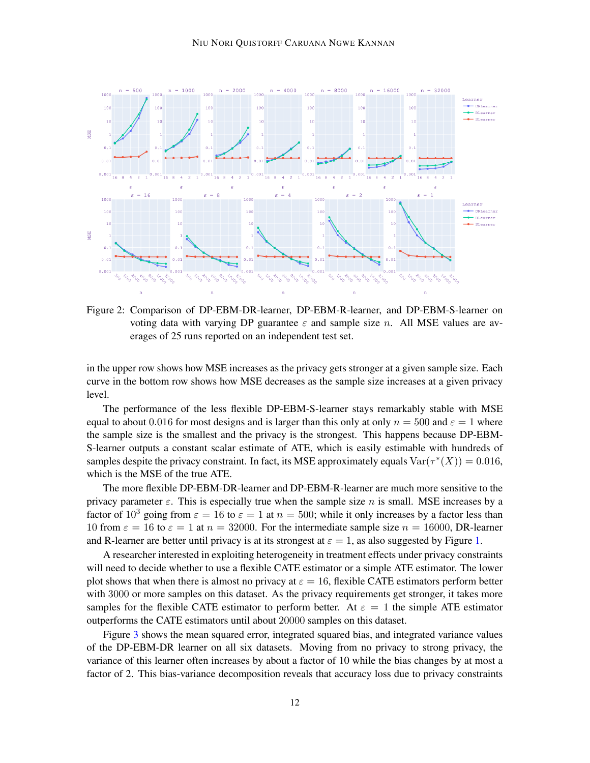

<span id="page-11-0"></span>Figure 2: Comparison of DP-EBM-DR-learner, DP-EBM-R-learner, and DP-EBM-S-learner on voting data with varying DP guarantee  $\varepsilon$  and sample size n. All MSE values are averages of 25 runs reported on an independent test set.

in the upper row shows how MSE increases as the privacy gets stronger at a given sample size. Each curve in the bottom row shows how MSE decreases as the sample size increases at a given privacy level.

The performance of the less flexible DP-EBM-S-learner stays remarkably stable with MSE equal to about 0.016 for most designs and is larger than this only at only  $n = 500$  and  $\varepsilon = 1$  where the sample size is the smallest and the privacy is the strongest. This happens because DP-EBM-S-learner outputs a constant scalar estimate of ATE, which is easily estimable with hundreds of samples despite the privacy constraint. In fact, its MSE approximately equals  $Var(\tau^*(X)) = 0.016$ , which is the MSE of the true ATE.

The more flexible DP-EBM-DR-learner and DP-EBM-R-learner are much more sensitive to the privacy parameter  $\varepsilon$ . This is especially true when the sample size n is small. MSE increases by a factor of  $10^3$  going from  $\varepsilon = 16$  to  $\varepsilon = 1$  at  $n = 500$ ; while it only increases by a factor less than 10 from  $\varepsilon = 16$  to  $\varepsilon = 1$  at  $n = 32000$ . For the intermediate sample size  $n = 16000$ , DR-learner and R-learner are better until privacy is at its strongest at  $\varepsilon = 1$ , as also suggested by Figure [1.](#page-10-0)

A researcher interested in exploiting heterogeneity in treatment effects under privacy constraints will need to decide whether to use a flexible CATE estimator or a simple ATE estimator. The lower plot shows that when there is almost no privacy at  $\varepsilon = 16$ , flexible CATE estimators perform better with 3000 or more samples on this dataset. As the privacy requirements get stronger, it takes more samples for the flexible CATE estimator to perform better. At  $\varepsilon = 1$  the simple ATE estimator outperforms the CATE estimators until about 20000 samples on this dataset.

Figure [3](#page-12-0) shows the mean squared error, integrated squared bias, and integrated variance values of the DP-EBM-DR learner on all six datasets. Moving from no privacy to strong privacy, the variance of this learner often increases by about a factor of 10 while the bias changes by at most a factor of 2. This bias-variance decomposition reveals that accuracy loss due to privacy constraints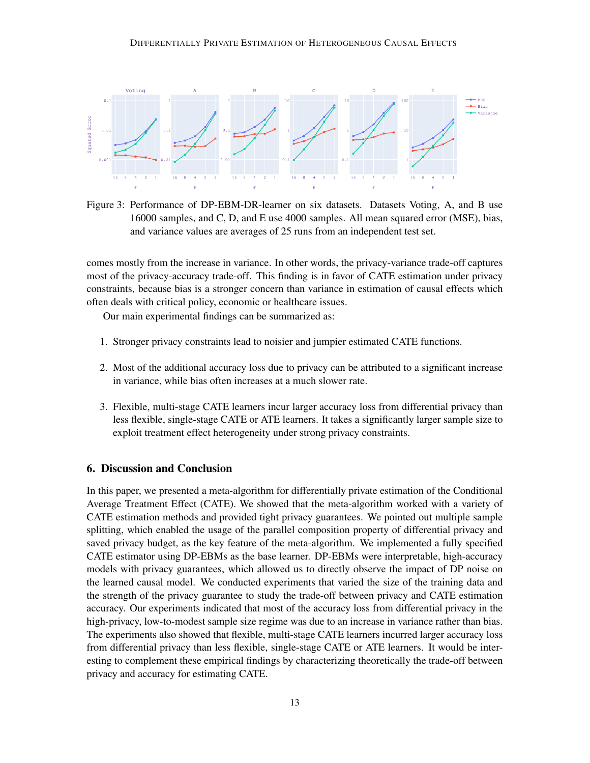

<span id="page-12-0"></span>Figure 3: Performance of DP-EBM-DR-learner on six datasets. Datasets Voting, A, and B use 16000 samples, and C, D, and E use 4000 samples. All mean squared error (MSE), bias, and variance values are averages of 25 runs from an independent test set.

comes mostly from the increase in variance. In other words, the privacy-variance trade-off captures most of the privacy-accuracy trade-off. This finding is in favor of CATE estimation under privacy constraints, because bias is a stronger concern than variance in estimation of causal effects which often deals with critical policy, economic or healthcare issues.

Our main experimental findings can be summarized as:

- 1. Stronger privacy constraints lead to noisier and jumpier estimated CATE functions.
- 2. Most of the additional accuracy loss due to privacy can be attributed to a significant increase in variance, while bias often increases at a much slower rate.
- 3. Flexible, multi-stage CATE learners incur larger accuracy loss from differential privacy than less flexible, single-stage CATE or ATE learners. It takes a significantly larger sample size to exploit treatment effect heterogeneity under strong privacy constraints.

## 6. Discussion and Conclusion

In this paper, we presented a meta-algorithm for differentially private estimation of the Conditional Average Treatment Effect (CATE). We showed that the meta-algorithm worked with a variety of CATE estimation methods and provided tight privacy guarantees. We pointed out multiple sample splitting, which enabled the usage of the parallel composition property of differential privacy and saved privacy budget, as the key feature of the meta-algorithm. We implemented a fully specified CATE estimator using DP-EBMs as the base learner. DP-EBMs were interpretable, high-accuracy models with privacy guarantees, which allowed us to directly observe the impact of DP noise on the learned causal model. We conducted experiments that varied the size of the training data and the strength of the privacy guarantee to study the trade-off between privacy and CATE estimation accuracy. Our experiments indicated that most of the accuracy loss from differential privacy in the high-privacy, low-to-modest sample size regime was due to an increase in variance rather than bias. The experiments also showed that flexible, multi-stage CATE learners incurred larger accuracy loss from differential privacy than less flexible, single-stage CATE or ATE learners. It would be interesting to complement these empirical findings by characterizing theoretically the trade-off between privacy and accuracy for estimating CATE.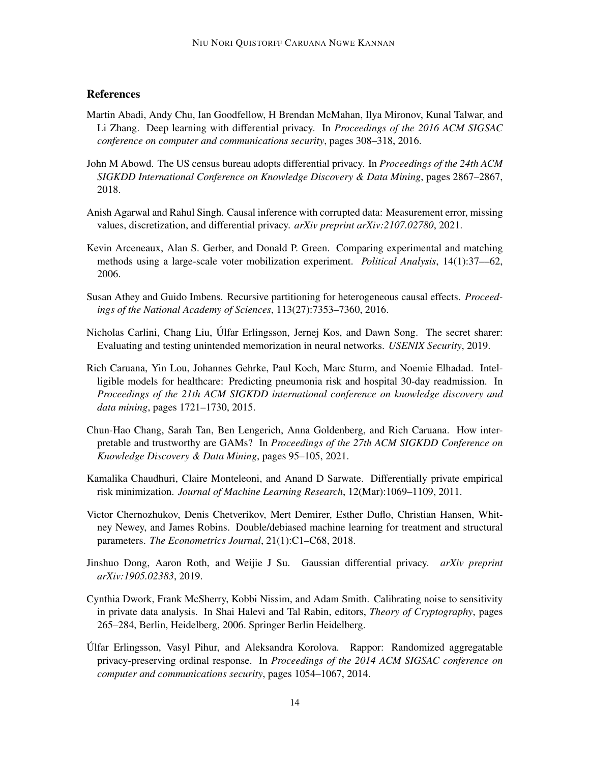## **References**

- <span id="page-13-7"></span>Martin Abadi, Andy Chu, Ian Goodfellow, H Brendan McMahan, Ilya Mironov, Kunal Talwar, and Li Zhang. Deep learning with differential privacy. In *Proceedings of the 2016 ACM SIGSAC conference on computer and communications security*, pages 308–318, 2016.
- <span id="page-13-2"></span>John M Abowd. The US census bureau adopts differential privacy. In *Proceedings of the 24th ACM SIGKDD International Conference on Knowledge Discovery & Data Mining*, pages 2867–2867, 2018.
- <span id="page-13-8"></span>Anish Agarwal and Rahul Singh. Causal inference with corrupted data: Measurement error, missing values, discretization, and differential privacy. *arXiv preprint arXiv:2107.02780*, 2021.
- <span id="page-13-12"></span>Kevin Arceneaux, Alan S. Gerber, and Donald P. Green. Comparing experimental and matching methods using a large-scale voter mobilization experiment. *Political Analysis*, 14(1):37––62, 2006.
- <span id="page-13-4"></span>Susan Athey and Guido Imbens. Recursive partitioning for heterogeneous causal effects. *Proceedings of the National Academy of Sciences*, 113(27):7353–7360, 2016.
- <span id="page-13-0"></span>Nicholas Carlini, Chang Liu, Ulfar Erlingsson, Jernej Kos, and Dawn Song. The secret sharer: ´ Evaluating and testing unintended memorization in neural networks. *USENIX Security*, 2019.
- <span id="page-13-11"></span>Rich Caruana, Yin Lou, Johannes Gehrke, Paul Koch, Marc Sturm, and Noemie Elhadad. Intelligible models for healthcare: Predicting pneumonia risk and hospital 30-day readmission. In *Proceedings of the 21th ACM SIGKDD international conference on knowledge discovery and data mining*, pages 1721–1730, 2015.
- <span id="page-13-10"></span>Chun-Hao Chang, Sarah Tan, Ben Lengerich, Anna Goldenberg, and Rich Caruana. How interpretable and trustworthy are GAMs? In *Proceedings of the 27th ACM SIGKDD Conference on Knowledge Discovery & Data Mining*, pages 95–105, 2021.
- <span id="page-13-6"></span>Kamalika Chaudhuri, Claire Monteleoni, and Anand D Sarwate. Differentially private empirical risk minimization. *Journal of Machine Learning Research*, 12(Mar):1069–1109, 2011.
- <span id="page-13-5"></span>Victor Chernozhukov, Denis Chetverikov, Mert Demirer, Esther Duflo, Christian Hansen, Whitney Newey, and James Robins. Double/debiased machine learning for treatment and structural parameters. *The Econometrics Journal*, 21(1):C1–C68, 2018.
- <span id="page-13-9"></span>Jinshuo Dong, Aaron Roth, and Weijie J Su. Gaussian differential privacy. *arXiv preprint arXiv:1905.02383*, 2019.
- <span id="page-13-3"></span>Cynthia Dwork, Frank McSherry, Kobbi Nissim, and Adam Smith. Calibrating noise to sensitivity in private data analysis. In Shai Halevi and Tal Rabin, editors, *Theory of Cryptography*, pages 265–284, Berlin, Heidelberg, 2006. Springer Berlin Heidelberg.
- <span id="page-13-1"></span>Ulfar Erlingsson, Vasyl Pihur, and Aleksandra Korolova. Rappor: Randomized aggregatable ´ privacy-preserving ordinal response. In *Proceedings of the 2014 ACM SIGSAC conference on computer and communications security*, pages 1054–1067, 2014.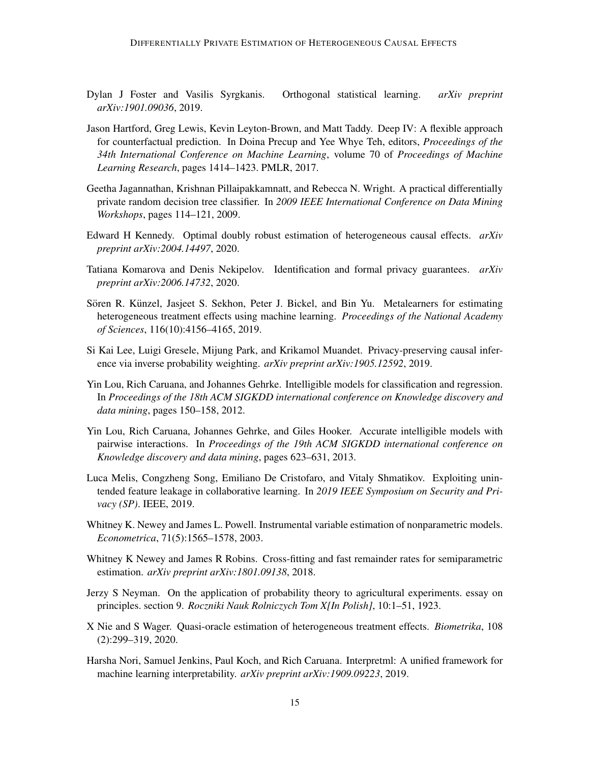- <span id="page-14-9"></span>Dylan J Foster and Vasilis Syrgkanis. Orthogonal statistical learning. *arXiv preprint arXiv:1901.09036*, 2019.
- <span id="page-14-11"></span>Jason Hartford, Greg Lewis, Kevin Leyton-Brown, and Matt Taddy. Deep IV: A flexible approach for counterfactual prediction. In Doina Precup and Yee Whye Teh, editors, *Proceedings of the 34th International Conference on Machine Learning*, volume 70 of *Proceedings of Machine Learning Research*, pages 1414–1423. PMLR, 2017.
- <span id="page-14-5"></span>Geetha Jagannathan, Krishnan Pillaipakkamnatt, and Rebecca N. Wright. A practical differentially private random decision tree classifier. In *2009 IEEE International Conference on Data Mining Workshops*, pages 114–121, 2009.
- <span id="page-14-4"></span>Edward H Kennedy. Optimal doubly robust estimation of heterogeneous causal effects. *arXiv preprint arXiv:2004.14497*, 2020.
- <span id="page-14-7"></span>Tatiana Komarova and Denis Nekipelov. Identification and formal privacy guarantees. *arXiv preprint arXiv:2006.14732*, 2020.
- <span id="page-14-3"></span>Sören R. Künzel, Jasjeet S. Sekhon, Peter J. Bickel, and Bin Yu. Metalearners for estimating heterogeneous treatment effects using machine learning. *Proceedings of the National Academy of Sciences*, 116(10):4156–4165, 2019.
- <span id="page-14-6"></span>Si Kai Lee, Luigi Gresele, Mijung Park, and Krikamol Muandet. Privacy-preserving causal inference via inverse probability weighting. *arXiv preprint arXiv:1905.12592*, 2019.
- <span id="page-14-13"></span>Yin Lou, Rich Caruana, and Johannes Gehrke. Intelligible models for classification and regression. In *Proceedings of the 18th ACM SIGKDD international conference on Knowledge discovery and data mining*, pages 150–158, 2012.
- <span id="page-14-14"></span>Yin Lou, Rich Caruana, Johannes Gehrke, and Giles Hooker. Accurate intelligible models with pairwise interactions. In *Proceedings of the 19th ACM SIGKDD international conference on Knowledge discovery and data mining*, pages 623–631, 2013.
- <span id="page-14-1"></span>Luca Melis, Congzheng Song, Emiliano De Cristofaro, and Vitaly Shmatikov. Exploiting unintended feature leakage in collaborative learning. In *2019 IEEE Symposium on Security and Privacy (SP)*. IEEE, 2019.
- <span id="page-14-10"></span>Whitney K. Newey and James L. Powell. Instrumental variable estimation of nonparametric models. *Econometrica*, 71(5):1565–1578, 2003.
- <span id="page-14-8"></span>Whitney K Newey and James R Robins. Cross-fitting and fast remainder rates for semiparametric estimation. *arXiv preprint arXiv:1801.09138*, 2018.
- <span id="page-14-0"></span>Jerzy S Neyman. On the application of probability theory to agricultural experiments. essay on principles. section 9. *Roczniki Nauk Rolniczych Tom X[In Polish]*, 10:1–51, 1923.
- <span id="page-14-2"></span>X Nie and S Wager. Quasi-oracle estimation of heterogeneous treatment effects. *Biometrika*, 108 (2):299–319, 2020.
- <span id="page-14-12"></span>Harsha Nori, Samuel Jenkins, Paul Koch, and Rich Caruana. Interpretml: A unified framework for machine learning interpretability. *arXiv preprint arXiv:1909.09223*, 2019.